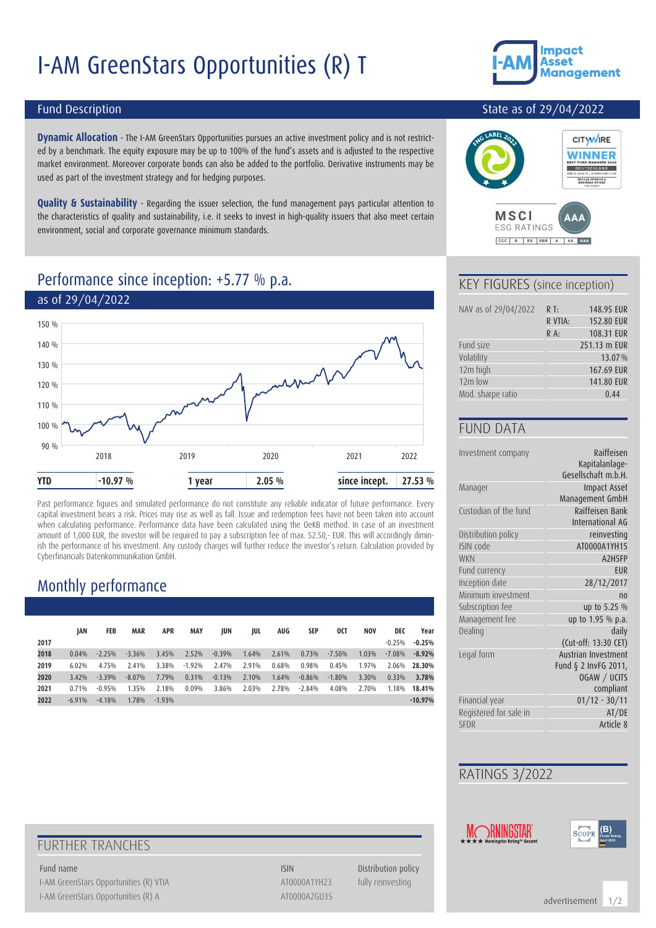# I-AM GreenStars Opportunities (R) T



#### Fund Description

**Dynamic Allocation** - The I-AM GreenStars Opportunities pursues an active investment policy and is not restricted by a benchmark. The equity exposure may be up to 100% of the fund's assets and is adjusted to the respective market environment. Moreover corporate bonds can also be added to the portfolio. Derivative instruments may be used as part of the investment strategy and for hedging purposes.

**Quality & Sustainability** - Regarding the issuer selection, the fund management pays particular attention to the characteristics of quality and sustainability, i.e. it seeks to invest in high-quality issuers that also meet certain environment, social and corporate governance minimum standards.

#### Performance since inception: +5.77 % p.a.



Past performance figures and simulated performance do not constitute any reliable indicator of future performance. Every capital investment bears a risk. Prices may rise as well as fall. Issue and redemption fees have not been taken into account when calculating performance. Performance data have been calculated using the OeKB method. In case of an investment amount of 1,000 EUR, the investor will be required to pay a subscription fee of max. 52.50,- EUR. This will accordingly diminish the performance of his investment. Any custody charges will further reduce the investor's return. Calculation provided by Cyberfinancials Datenkommunikation GmbH.

### Monthly performance

|      | IAN      | FEB      | <b>MAR</b> | <b>APR</b> | <b>MAY</b> | JUN      | JUL   | AUG   | SEP      | 0CT      | <b>NOV</b> | DEC      | Year      |
|------|----------|----------|------------|------------|------------|----------|-------|-------|----------|----------|------------|----------|-----------|
| 2017 |          |          |            |            |            |          |       |       |          |          |            | $-0.25%$ | $-0.25%$  |
| 2018 | 0.04%    | $-2.25%$ | $-3.36%$   | 3.45%      | 2.52%      | $-0.39%$ | 1.64% | 2.61% | 0.73%    | $-7.50%$ | 1.03%      | $-7.08%$ | $-8.92%$  |
| 2019 | 6.02%    | 4.75%    | 2.41%      | 3.38%      | $-1.92%$   | 2.47%    | 2.91% | 0.68% | 0.98%    | 0.45%    | 1.97%      | 2.06%    | 28.30%    |
| 2020 | 3.42%    | $-3.39%$ | $-8.07%$   | 7.79%      | 0.31%      | $-0.13%$ | 2.10% | 1.64% | $-0.86%$ | $-1.80%$ | 3.30%      | 0.33%    | 3.78%     |
| 2021 | 0.71%    | $-0.95%$ | 1.35%      | 2.18%      | 0.09%      | 3.86%    | 2.03% | 2.78% | $-2.84%$ | 4.08%    | 2.70%      | 1.18%    | 18.41%    |
| 2022 | $-6.91%$ | $-4.18%$ | 1.78%      | $-1.93%$   |            |          |       |       |          |          |            |          | $-10.97%$ |

#### State as of 29/04/2022



#### KEY FIGURES (since inception)

CCC B BB BBB A AA AAA

| NAV as of 29/04/2022 | $R$ T:  | 148.95 EUR   |
|----------------------|---------|--------------|
|                      | R VTIA: | 152.80 EUR   |
|                      | $R A$ : | 108.31 EUR   |
| Fund size            |         | 251.13 m EUR |
| Volatility           |         | 13.07%       |
| 12m high             |         | 167.69 EUR   |
| $12m$ low            |         | 141.80 EUR   |
| Mod. sharpe ratio    |         | 0.44         |

#### FUND DATA

| Investment company     | Raiffeisen           |
|------------------------|----------------------|
|                        | Kapitalanlage-       |
|                        | Gesellschaft m.b.H.  |
| Manager                | <b>Impact Asset</b>  |
|                        | Management GmbH      |
| Custodian of the fund  | Raiffeisen Bank      |
|                        | International AG     |
| Distribution policy    | reinvesting          |
| ISIN code              | AT0000A1YH15         |
| <b>WKN</b>             | A2H5FP               |
| Fund currency          | EUR                  |
| Inception date         | 28/12/2017           |
| Minimum investment     | n <sub>0</sub>       |
| Subscription fee       | up to 5.25 %         |
| Management fee         | up to 1.95 % p.a.    |
| Dealing                | daily                |
|                        | (Cut-off: 13:30 CET) |
| Legal form             | Austrian Investment  |
|                        | Fund § 2 InvFG 2011, |
|                        | OGAW / UCITS         |
|                        | compliant            |
| Financial year         | $01/12 - 30/11$      |
| Registered for sale in | AT/DE                |
| <b>SFDR</b>            | Article 8            |
|                        |                      |

#### RATINGS 3/2022



**(B) Fonds Rating April 2022**

### FURTHER TRANCHES

I-AM GreenStars Opportunities (R) VTIA ATOOOOA1YH23 fully reinvesting I-AM GreenStars Opportunities (R) A AT0000A2GU35

Fund name **ISIN** Distribution policy